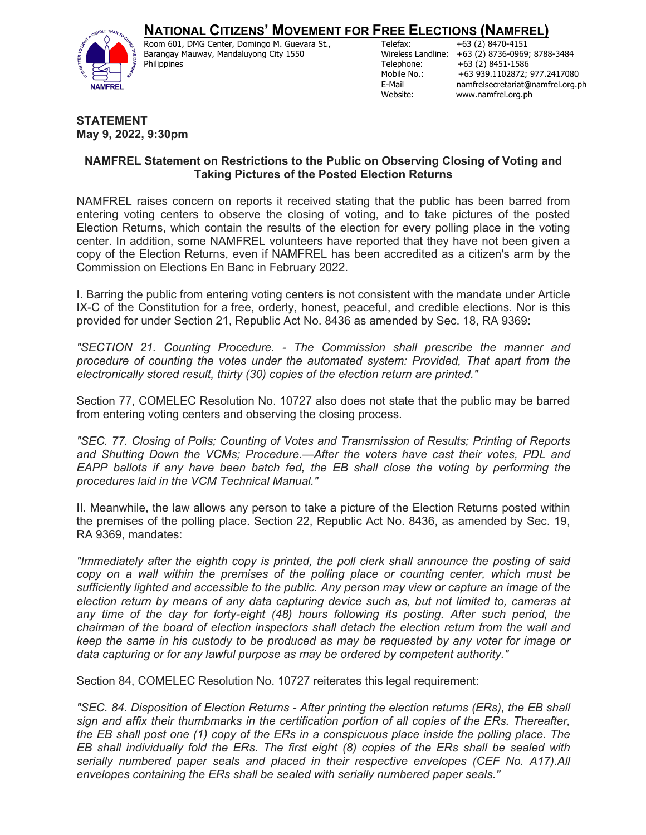## **NATIONAL CITIZENS' MOVEMENT FOR FREE ELECTIONS (NAMFREL)**



Room 601, DMG Center, Domingo M. Guevara St., Barangay Mauway, Mandaluyong City 1550 Philippines

Telefax: +63 (2) 8470-4151 Wireless Landline: +63 (2) 8736-0969; 8788-3484 Telephone: +63 (2) 8451-1586 Mobile No.: +63 939.1102872; 977.2417080 E-Mail namfrelsecretariat@namfrel.org.ph Website: www.namfrel.org.ph

## **STATEMENT May 9, 2022, 9:30pm**

## **NAMFREL Statement on Restrictions to the Public on Observing Closing of Voting and Taking Pictures of the Posted Election Returns**

NAMFREL raises concern on reports it received stating that the public has been barred from entering voting centers to observe the closing of voting, and to take pictures of the posted Election Returns, which contain the results of the election for every polling place in the voting center. In addition, some NAMFREL volunteers have reported that they have not been given a copy of the Election Returns, even if NAMFREL has been accredited as a citizen's arm by the Commission on Elections En Banc in February 2022.

I. Barring the public from entering voting centers is not consistent with the mandate under Article IX-C of the Constitution for a free, orderly, honest, peaceful, and credible elections. Nor is this provided for under Section 21, Republic Act No. 8436 as amended by Sec. 18, RA 9369:

*"SECTION 21. Counting Procedure. - The Commission shall prescribe the manner and procedure of counting the votes under the automated system: Provided, That apart from the electronically stored result, thirty (30) copies of the election return are printed."*

Section 77, COMELEC Resolution No. 10727 also does not state that the public may be barred from entering voting centers and observing the closing process.

*"SEC. 77. Closing of Polls; Counting of Votes and Transmission of Results; Printing of Reports and Shutting Down the VCMs; Procedure.—After the voters have cast their votes, PDL and EAPP ballots if any have been batch fed, the EB shall close the voting by performing the procedures laid in the VCM Technical Manual."*

II. Meanwhile, the law allows any person to take a picture of the Election Returns posted within the premises of the polling place. Section 22, Republic Act No. 8436, as amended by Sec. 19, RA 9369, mandates:

*"Immediately after the eighth copy is printed, the poll clerk shall announce the posting of said copy on a wall within the premises of the polling place or counting center, which must be sufficiently lighted and accessible to the public. Any person may view or capture an image of the election return by means of any data capturing device such as, but not limited to, cameras at any time of the day for forty-eight (48) hours following its posting. After such period, the chairman of the board of election inspectors shall detach the election return from the wall and keep the same in his custody to be produced as may be requested by any voter for image or data capturing or for any lawful purpose as may be ordered by competent authority."*

Section 84, COMELEC Resolution No. 10727 reiterates this legal requirement:

*"SEC. 84. Disposition of Election Returns - After printing the election returns (ERs), the EB shall sign and affix their thumbmarks in the certification portion of all copies of the ERs. Thereafter, the EB shall post one (1) copy of the ERs in a conspicuous place inside the polling place. The EB shall individually fold the ERs. The first eight (8) copies of the ERs shall be sealed with serially numbered paper seals and placed in their respective envelopes (CEF No. A17).All envelopes containing the ERs shall be sealed with serially numbered paper seals."*